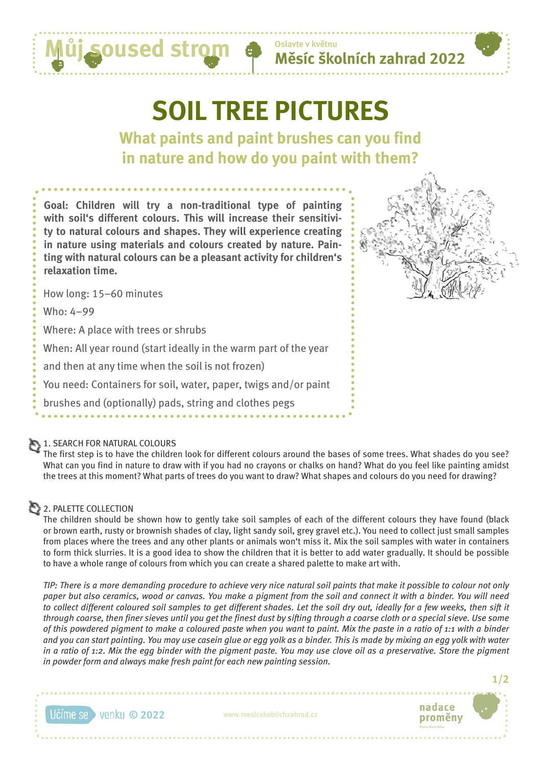

# **SOIL TREE PICTURES**

**Oslavte v květnu**

**What paints and paint brushes can you find in nature and how do you paint with them?**

**Goal: Children will try a non-traditional type of painting with soil's different colours. This will increase their sensitivity to natural colours and shapes. They will experience creating in nature using materials and colours created by nature. Painting with natural colours can be a pleasant activity for children's relaxation time.**



How long: 15–60 minutes

Who: 4–99

Where: A place with trees or shrubs

When: All year round (start ideally in the warm part of the year

and then at any time when the soil is not frozen)

You need: Containers for soil, water, paper, twigs and/or paint

brushes and (optionally) pads, string and clothes pegs

### 1. SEARCH FOR NATURAL COLOURS

The first step is to have the children look for different colours around the bases of some trees. What shades do you see? What can you find in nature to draw with if you had no crayons or chalks on hand? What do you feel like painting amidst the trees at this moment? What parts of trees do you want to draw? What shapes and colours do you need for drawing?

## **2. PALETTE COLLECTION**

The children should be shown how to gently take soil samples of each of the different colours they have found (black or brown earth, rusty or brownish shades of clay, light sandy soil, grey gravel etc.). You need to collect just small samples from places where the trees and any other plants or animals won't miss it. Mix the soil samples with water in containers to form thick slurries. It is a good idea to show the children that it is better to add water gradually. It should be possible to have a whole range of colours from which you can create a shared palette to make art with.

*TIP: There is a more demanding procedure to achieve very nice natural soil paints that make it possible to colour not only paper but also ceramics, wood or canvas. You make a pigment from the soil and connect it with a binder. You will need*  to collect different coloured soil samples to get different shades. Let the soil dry out, ideally for a few weeks, then sift it *through coarse, then finer sieves until you get the finest dust by sifting through a coarse cloth or a special sieve. Use some of this powdered pigment to make a coloured paste when you want to paint. Mix the paste in a ratio of 1:1 with a binder and you can start painting. You may use casein glue or egg yolk as a binder. This is made by mixing an egg yolk with water in a ratio of 1:2. Mix the egg binder with the pigment paste. You may use clove oil as a preservative. Store the pigment in powder form and always make fresh paint for each new painting session.*





**1/2**